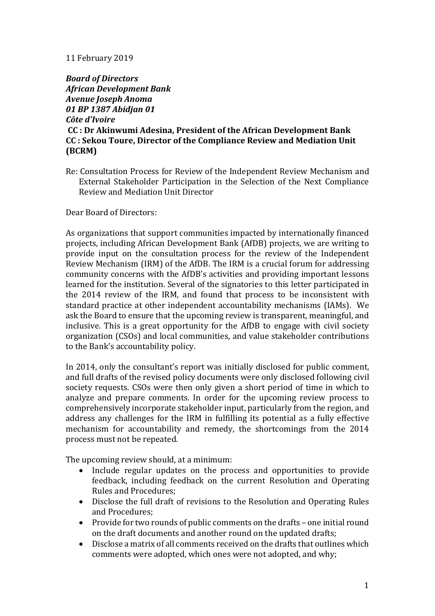## 11 February 2019

*Board of Directors African Development Bank Avenue Joseph Anoma 01 BP 1387 Abidjan 01 Côte d'Ivoire* **CC : Dr Akinwumi Adesina, President of the African Development Bank CC : Sekou Toure, Director of the Compliance Review and Mediation Unit (BCRM)**

Re: Consultation Process for Review of the Independent Review Mechanism and External Stakeholder Participation in the Selection of the Next Compliance Review and Mediation Unit Director

Dear Board of Directors:

As organizations that support communities impacted by internationally financed projects, including African Development Bank (AfDB) projects, we are writing to provide input on the consultation process for the review of the Independent Review Mechanism (IRM) of the AfDB. The IRM is a crucial forum for addressing community concerns with the AfDB's activities and providing important lessons learned for the institution. Several of the signatories to this letter participated in the 2014 review of the IRM, and found that process to be inconsistent with standard practice at other independent accountability mechanisms (IAMs). We ask the Board to ensure that the upcoming review is transparent, meaningful, and inclusive. This is a great opportunity for the AfDB to engage with civil society organization (CSOs) and local communities, and value stakeholder contributions to the Bank's accountability policy.

In 2014, only the consultant's report was initially disclosed for public comment, and full drafts of the revised policy documents were only disclosed following civil society requests. CSOs were then only given a short period of time in which to analyze and prepare comments. In order for the upcoming review process to comprehensively incorporate stakeholder input, particularly from the region, and address any challenges for the IRM in fulfilling its potential as a fully effective mechanism for accountability and remedy, the shortcomings from the 2014 process must not be repeated.

The upcoming review should, at a minimum:

- Include regular updates on the process and opportunities to provide feedback, including feedback on the current Resolution and Operating Rules and Procedures;
- Disclose the full draft of revisions to the Resolution and Operating Rules and Procedures;
- Provide for two rounds of public comments on the drafts one initial round on the draft documents and another round on the updated drafts;
- Disclose a matrix of all comments received on the drafts that outlines which comments were adopted, which ones were not adopted, and why;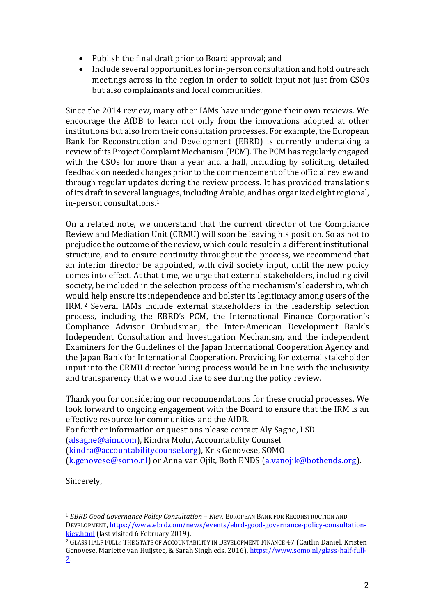- Publish the final draft prior to Board approval; and
- Include several opportunities for in-person consultation and hold outreach meetings across in the region in order to solicit input not just from CSOs but also complainants and local communities.

Since the 2014 review, many other IAMs have undergone their own reviews. We encourage the AfDB to learn not only from the innovations adopted at other institutions but also from their consultation processes. For example, the European Bank for Reconstruction and Development (EBRD) is currently undertaking a review of its Project Complaint Mechanism (PCM). The PCM has regularly engaged with the CSOs for more than a year and a half, including by soliciting detailed feedback on needed changes prior to the commencement of the official review and through regular updates during the review process. It has provided translations of its draft in several languages, including Arabic, and has organized eight regional, in-person consultations.<sup>1</sup>

On a related note, we understand that the current director of the Compliance Review and Mediation Unit (CRMU) will soon be leaving his position. So as not to prejudice the outcome of the review, which could result in a different institutional structure, and to ensure continuity throughout the process, we recommend that an interim director be appointed, with civil society input, until the new policy comes into effect. At that time, we urge that external stakeholders, including civil society, be included in the selection process of the mechanism's leadership, which would help ensure its independence and bolster its legitimacy among users of the IRM. <sup>2</sup> Several IAMs include external stakeholders in the leadership selection process, including the EBRD's PCM, the International Finance Corporation's Compliance Advisor Ombudsman, the Inter-American Development Bank's Independent Consultation and Investigation Mechanism, and the independent Examiners for the Guidelines of the Japan International Cooperation Agency and the Japan Bank for International Cooperation. Providing for external stakeholder input into the CRMU director hiring process would be in line with the inclusivity and transparency that we would like to see during the policy review.

Thank you for considering our recommendations for these crucial processes. We look forward to ongoing engagement with the Board to ensure that the IRM is an effective resource for communities and the AfDB. For further information or questions please contact Aly Sagne, LSD [\(alsagne@aim.com\)](mailto:alsagne@aim.com), Kindra Mohr, Accountability Counsel [\(kindra@accountabilitycounsel.org\)](mailto:kindra@accountabilitycounsel.org), Kris Genovese, SOMO

[\(k.genovese@somo.nl\)](mailto:k.genovese@somo.nl) or Anna van Ojik, Both ENDS [\(a.vanojik@bothends.org\)](mailto:a.vanojik@bothends.org).

Sincerely,

 $\overline{\phantom{a}}$ 

<sup>1</sup> *EBRD Good Governance Policy Consultation – Kiev*, EUROPEAN BANK FOR RECONSTRUCTION AND DEVELOPMENT, [https://www.ebrd.com/news/events/ebrd-good-governance-policy-consultation](https://www.ebrd.com/news/events/ebrd-good-governance-policy-consultation-kiev.html)[kiev.html](https://www.ebrd.com/news/events/ebrd-good-governance-policy-consultation-kiev.html) (last visited 6 February 2019).

<sup>2</sup> GLASS HALF FULL? THE STATE OF ACCOUNTABILITY IN DEVELOPMENT FINANCE 47 (Caitlin Daniel, Kristen Genovese, Mariette van Huijstee, & Sarah Singh eds. 2016), [https://www.somo.nl/glass-half-full-](https://www.somo.nl/glass-half-full-2)[2.](https://www.somo.nl/glass-half-full-2)